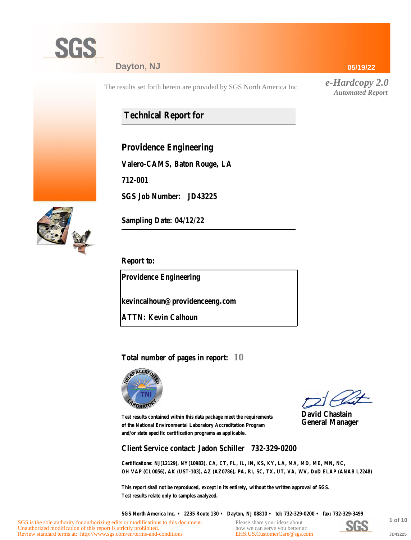

#### **Dayton, NJ**

The results set forth herein are provided by SGS North America Inc.

## **Technical Report for**

**Providence Engineering**

**Valero-CAMS, Baton Rouge, LA**

**712-001**

**SGS Job Number: JD43225**



**Sampling Date: 04/12/22**

**Report to:**

**Providence Engineering**

**kevincalhoun@providenceeng.com**

**ATTN: Kevin Calhoun**

#### **Total number of pages in report: 10**



**David Chastain General Manager**

**Test results contained within this data package meet the requirements of the National Environmental Laboratory Accreditation Program and/or state specific certification programs as applicable.**

**Client Service contact: Jadon Schiller 732-329-0200**

**Certifications: NJ(12129), NY(10983), CA, CT, FL, IL, IN, KS, KY, LA, MA, MD, ME, MN, NC, OH VAP (CL0056), AK (UST-103), AZ (AZ0786), PA, RI, SC, TX, UT, VA, WV, DoD ELAP (ANAB L2248)**

**This report shall not be reproduced, except in its entirety, without the written approval of SGS. Test results relate only to samples analyzed.**

**SGS North America Inc. • 2235 Route 130 • Dayton, NJ 08810 • tel: 732-329-0200 • fax: 732-329-3499**

Please share your ideas about how we can serve you better at: [EHS.US.CustomerCare@sgs.com](mailto:EHS.US.CustomerCare@sgs.com?subject=Customer care improvement idea (report JD43225))



**1 of 10 JD43225**

#### **05/19/22**

*e-Hardcopy 2.0 Automated Report*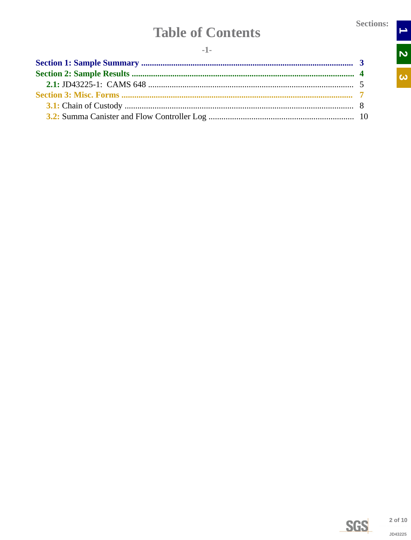$\rightarrow$ 

N<br>N

 $\overline{\omega}$ 

# **Table of Contents**

<span id="page-1-0"></span>

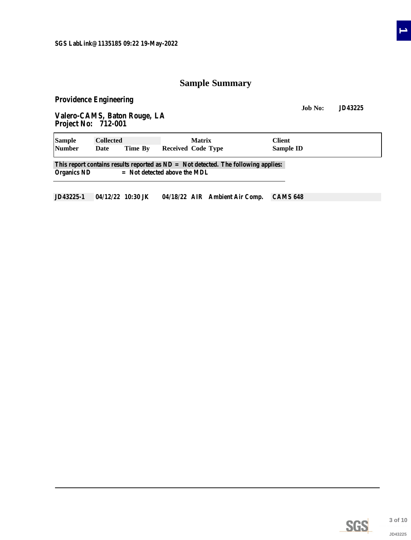### **Sample Summary**

<span id="page-2-0"></span>**Providence Engineering**

**Job No: JD43225**

**Valero-CAMS, Baton Rouge, LA Project No: 712-001**

| <b>Sample</b>      | <b>Collected</b>                                                                     |         | <b>Matrix</b>                  | <b>Client</b>    |  |  |  |  |  |  |  |  |  |
|--------------------|--------------------------------------------------------------------------------------|---------|--------------------------------|------------------|--|--|--|--|--|--|--|--|--|
| <b>Number</b>      | Date                                                                                 | Time By | <b>Received Code Type</b>      | <b>Sample ID</b> |  |  |  |  |  |  |  |  |  |
|                    | This report contains results reported as $ND = Not$ detected. The following applies: |         |                                |                  |  |  |  |  |  |  |  |  |  |
| <b>Organics ND</b> |                                                                                      |         | $=$ Not detected above the MDL |                  |  |  |  |  |  |  |  |  |  |

**JD43225-1 04/12/22 10:30 JK 04/18/22 AIR Ambient Air Comp. CAMS 648**

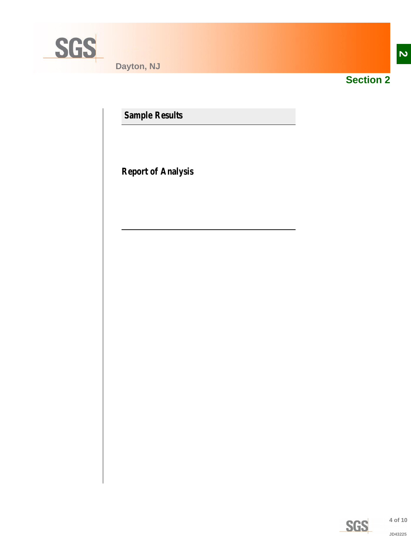<span id="page-3-0"></span>

**Dayton, NJ**



**Section 2**

**Sample Results**

**Report of Analysis**

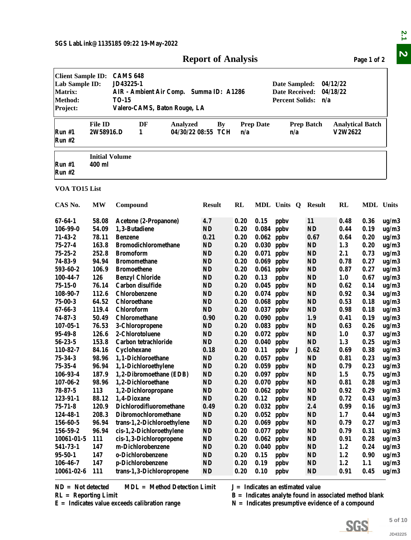| <b>Report of Analysis</b> | Page 1 of 2 |
|---------------------------|-------------|
|---------------------------|-------------|

<span id="page-4-0"></span>

|                                                                                     |                                 |                                                                                                                                                                                                                            | <b>Report of Analysis</b> |      |                  |                                                                                                                                                      |                   |                                    | Page 1 of 2      |         |  |  |  |
|-------------------------------------------------------------------------------------|---------------------------------|----------------------------------------------------------------------------------------------------------------------------------------------------------------------------------------------------------------------------|---------------------------|------|------------------|------------------------------------------------------------------------------------------------------------------------------------------------------|-------------------|------------------------------------|------------------|---------|--|--|--|
| <b>Client Sample ID:</b><br>Lab Sample ID:<br><b>Matrix:</b><br>Method:<br>Project: |                                 | <b>CAMS 648</b><br>JD43225-1<br>04/12/22<br>Date Sampled:<br><b>Date Received:</b><br>04/18/22<br>AIR - Ambient Air Comp. Summa ID: A1286<br><b>Percent Solids:</b><br><b>TO-15</b><br>n/a<br>Valero-CAMS, Baton Rouge, LA |                           |      |                  |                                                                                                                                                      |                   |                                    |                  |         |  |  |  |
| Run#1<br><b>Run #2</b>                                                              | <b>File ID</b><br>2W58916.D     | DF<br><b>Analyzed</b><br>1                                                                                                                                                                                                 | By<br>04/30/22 08:55 TCH  | n/a  | <b>Prep Date</b> | n/a                                                                                                                                                  | <b>Prep Batch</b> | <b>Analytical Batch</b><br>V2W2622 |                  |         |  |  |  |
| Run#1<br><b>Run #2</b>                                                              | <b>Initial Volume</b><br>400 ml |                                                                                                                                                                                                                            |                           |      |                  |                                                                                                                                                      |                   |                                    |                  |         |  |  |  |
| VOA TO15 List                                                                       |                                 |                                                                                                                                                                                                                            |                           |      |                  |                                                                                                                                                      |                   |                                    |                  |         |  |  |  |
| CAS No.                                                                             | MW                              | Compound                                                                                                                                                                                                                   | <b>Result</b>             | RL   |                  | MDL Units Q                                                                                                                                          | <b>Result</b>     | <b>RL</b>                          | <b>MDL</b> Units |         |  |  |  |
| $67 - 64 - 1$                                                                       | 58.08                           | Acetone (2-Propanone)                                                                                                                                                                                                      | 4.7                       | 0.20 | 0.15             | ppby                                                                                                                                                 | <b>11</b>         | 0.48                               | 0.36             | ug/m3   |  |  |  |
| 106-99-0                                                                            | 54.09                           | 1,3-Butadiene                                                                                                                                                                                                              | ND                        | 0.20 | $0.084$ ppbv     |                                                                                                                                                      | <b>ND</b>         | 0.44                               | 0.19             | ug/m3   |  |  |  |
| $71 - 43 - 2$                                                                       | 78.11                           | <b>Benzene</b>                                                                                                                                                                                                             | 0.21                      | 0.20 | $0.062$ ppbv     |                                                                                                                                                      | 0.67              | 0.64                               | 0.20             | ug/m3   |  |  |  |
| $75 - 27 - 4$                                                                       | 163.8                           | <b>Bromodichloromethane</b>                                                                                                                                                                                                | ND                        | 0.20 | $0.030$ ppbv     |                                                                                                                                                      | <b>ND</b>         | 1.3                                | 0.20             | ug/m3   |  |  |  |
| $75 - 25 - 2$                                                                       | 252.8                           | <b>Bromoform</b>                                                                                                                                                                                                           | <b>ND</b>                 | 0.20 | $0.071$ ppbv     |                                                                                                                                                      | <b>ND</b>         | 2.1                                | 0.73             | ug/m3   |  |  |  |
| 74-83-9                                                                             | 94.94                           | <b>Bromomethane</b>                                                                                                                                                                                                        | <b>ND</b>                 | 0.20 | $0.069$ ppbv     |                                                                                                                                                      | <b>ND</b>         | 0.78                               | 0.27             | ug/m3   |  |  |  |
| 593-60-2                                                                            | 106.9                           | <b>Bromoethene</b>                                                                                                                                                                                                         | <b>ND</b>                 | 0.20 |                  | $0.061$ ppbv                                                                                                                                         | <b>ND</b>         | 0.87                               | 0.27             | ug/m3   |  |  |  |
| 100-44-7                                                                            | 126                             | <b>Benzyl Chloride</b>                                                                                                                                                                                                     | <b>ND</b>                 | 0.20 | 0.13             | ppby                                                                                                                                                 | <b>ND</b>         | 1.0                                | 0.67             | ug/m3   |  |  |  |
| $75 - 15 - 0$                                                                       | 76.14                           | Carbon disulfide                                                                                                                                                                                                           | <b>ND</b>                 | 0.20 | $0.045$ ppbv     |                                                                                                                                                      | <b>ND</b>         | 0.62                               | 0.14             | ug/m3   |  |  |  |
| 108-90-7                                                                            | 112.6                           | Chlorobenzene                                                                                                                                                                                                              | <b>ND</b>                 | 0.20 |                  | $0.074$ ppbv                                                                                                                                         | <b>ND</b>         | 0.92                               | 0.34             | ug/m3   |  |  |  |
| $75 - 00 - 3$                                                                       | 64.52                           | Chloroethane                                                                                                                                                                                                               | ND                        | 0.20 | $0.068$ ppbv     |                                                                                                                                                      | ND                | 0.53                               | 0.18             | ug/m3   |  |  |  |
| $67 - 66 - 3$                                                                       | 119.4                           | Chloroform                                                                                                                                                                                                                 | <b>ND</b>                 | 0.20 | $0.037$ ppbv     |                                                                                                                                                      | <b>ND</b>         | 0.98                               | 0.18             | ug/m3   |  |  |  |
| $74 - 87 - 3$                                                                       | 50.49                           | Chloromethane                                                                                                                                                                                                              | 0.90                      | 0.20 | 0.090            | ppby                                                                                                                                                 | 1.9               | 0.41                               | 0.19             | ug/m3   |  |  |  |
| $107 - 05 - 1$                                                                      | 76.53                           | 3-Chloropropene                                                                                                                                                                                                            | ND                        | 0.20 | $0.083$ ppbv     |                                                                                                                                                      | <b>ND</b>         | 0.63                               | 0.26             | ug/m3   |  |  |  |
| $95 - 49 - 8$                                                                       | 126.6                           | 2-Chlorotoluene                                                                                                                                                                                                            | ND                        | 0.20 |                  | $0.072$ ppbv                                                                                                                                         | <b>ND</b>         | 1.0                                | 0.37             | ug/m3   |  |  |  |
| $56 - 23 - 5$                                                                       | 153.8                           | Carbon tetrachloride                                                                                                                                                                                                       | <b>ND</b>                 | 0.20 | $0.040$ ppbv     |                                                                                                                                                      | <b>ND</b>         | 1.3                                | 0.25             | ug/m3   |  |  |  |
| 110-82-7                                                                            | 84.16                           | Cyclohexane                                                                                                                                                                                                                | 0.18                      | 0.20 | 0.11             | ppbv                                                                                                                                                 | 0.62              | 0.69                               | 0.38             | ug/m3   |  |  |  |
| $75 - 34 - 3$                                                                       | 98.96                           | 1,1-Dichloroethane                                                                                                                                                                                                         | ND                        | 0.20 | $0.057$ ppbv     |                                                                                                                                                      | <b>ND</b>         | 0.81                               | 0.23             | ug/m3   |  |  |  |
| $75 - 35 - 4$                                                                       | 96.94                           | 1,1-Dichloroethylene                                                                                                                                                                                                       | $\mathbf{N}\mathbf{D}$    | 0.20 | $0.059$ ppbv     |                                                                                                                                                      | <b>ND</b>         | 0.79                               | 0.23             | ug/m3   |  |  |  |
| 106-93-4                                                                            | 187.9                           | 1,2-Dibromoethane (EDB)                                                                                                                                                                                                    | ND                        | 0.20 | $0.097$ ppbv     |                                                                                                                                                      | ND                | 1.5                                | 0.75             | ug/m3   |  |  |  |
| $107 - 06 - 2$                                                                      | 98.96                           | 1,2-Dichloroethane                                                                                                                                                                                                         | ND                        | 0.20 | $0.070$ ppbv     |                                                                                                                                                      | <b>ND</b>         | 0.81                               | 0.28             | ug/m3   |  |  |  |
| $78 - 87 - 5$                                                                       | 113                             | 1,2-Dichloropropane                                                                                                                                                                                                        | ND                        | 0.20 | $0.062$ ppbv     |                                                                                                                                                      | <b>ND</b>         | 0.92                               | 0.29             | ug/m3   |  |  |  |
| 123-91-1                                                                            | 88.12                           | 1,4-Dioxane                                                                                                                                                                                                                | ND                        | 0.20 | 0.12             | ppby                                                                                                                                                 | <b>ND</b>         | 0.72                               | 0.43             | ug/m3   |  |  |  |
| $75 - 71 - 8$                                                                       | 120.9                           | Dichlorodifluoromethane                                                                                                                                                                                                    | 0.49                      | 0.20 |                  | $0.032$ ppbv                                                                                                                                         | 2.4               | 0.99                               | 0.16             | ug/m3   |  |  |  |
| 124-48-1                                                                            | 208.3                           | Dibromochloromethane                                                                                                                                                                                                       | ND                        | 0.20 | $0.052$ ppbv     |                                                                                                                                                      | <b>ND</b>         | 1.7                                | 0.44             | ug/m3   |  |  |  |
| 156-60-5                                                                            | 96.94                           | trans-1,2-Dichloroethylene                                                                                                                                                                                                 | ND                        | 0.20 |                  | $0.069$ ppbv                                                                                                                                         | <b>ND</b>         | 0.79                               | 0.27             | ug/m3   |  |  |  |
| 156-59-2                                                                            | 96.94                           | cis-1,2-Dichloroethylene                                                                                                                                                                                                   | ND                        | 0.20 | $0.077$ ppbv     |                                                                                                                                                      | <b>ND</b>         | 0.79                               | 0.31             | ug/m3   |  |  |  |
| $10061 - 01 - 5$                                                                    | 111                             | cis-1,3-Dichloropropene                                                                                                                                                                                                    | $\mathbf{N}\mathbf{D}$    | 0.20 | 0.062            | ppby                                                                                                                                                 | <b>ND</b>         | 0.91                               | 0.28             | ug/m3   |  |  |  |
| 541-73-1                                                                            | 147                             | m-Dichlorobenzene                                                                                                                                                                                                          | ND                        | 0.20 | 0.040            | ppby                                                                                                                                                 | <b>ND</b>         | 1.2                                | 0.24             | ug/m3   |  |  |  |
| $95 - 50 - 1$                                                                       | 147                             | o-Dichlorobenzene                                                                                                                                                                                                          | ND                        | 0.20 | 0.15             | ppby                                                                                                                                                 | <b>ND</b>         | 1.2                                | 0.90             | ug/m3   |  |  |  |
| $106 - 46 - 7$                                                                      | 147                             | p-Dichlorobenzene                                                                                                                                                                                                          | <b>ND</b>                 | 0.20 | 0.19             | ppby                                                                                                                                                 | <b>ND</b>         | 1.2                                | 1.1              | ug/m3   |  |  |  |
| $10061 - 02 - 6$                                                                    | 111                             | trans-1,3-Dichloropropene                                                                                                                                                                                                  | <b>ND</b>                 | 0.20 | 0.10             | ppby                                                                                                                                                 | <b>ND</b>         | 0.91                               | 0.45             | ug/m3   |  |  |  |
| $ND = Not detected$<br>$RL =$ Reporting Limit                                       |                                 | <b>MDL</b> = Method Detection Limit<br>$E =$ Indicates value exceeds calibration range                                                                                                                                     |                           |      |                  | $J =$ Indicates an estimated value<br>$B =$ Indicates analyte found in associated method blank<br>$N =$ Indicates presumptive evidence of a compound |                   |                                    |                  |         |  |  |  |
|                                                                                     |                                 |                                                                                                                                                                                                                            |                           |      |                  |                                                                                                                                                      |                   |                                    |                  |         |  |  |  |
|                                                                                     |                                 |                                                                                                                                                                                                                            |                           |      |                  |                                                                                                                                                      |                   | <b>SGS</b>                         |                  | 5 of 10 |  |  |  |
|                                                                                     |                                 |                                                                                                                                                                                                                            |                           |      |                  |                                                                                                                                                      |                   |                                    |                  |         |  |  |  |



**E = Indicates value exceeds calibration range N = Indicates presumptive evidence of a compound**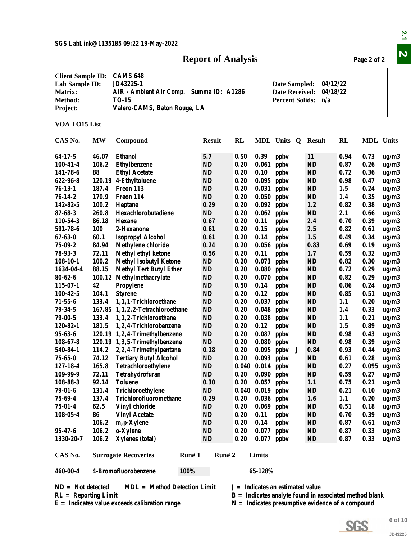#### **Report of Analysis Page 2 of 2**

|                                                                                     |           | SGS LabLink@1135185 09:22 19-May-2022                                                                                   | <b>Report of Analysis</b> |              |                      |                                                                                                 |               |              | Page 2 of 2      |         |
|-------------------------------------------------------------------------------------|-----------|-------------------------------------------------------------------------------------------------------------------------|---------------------------|--------------|----------------------|-------------------------------------------------------------------------------------------------|---------------|--------------|------------------|---------|
| <b>Client Sample ID:</b><br>Lab Sample ID:<br><b>Matrix:</b><br>Method:<br>Project: |           | <b>CAMS 648</b><br>JD43225-1<br>AIR - Ambient Air Comp. Summa ID: A1286<br><b>TO-15</b><br>Valero-CAMS, Baton Rouge, LA |                           |              |                      | 04/12/22<br>Date Sampled:<br>04/18/22<br><b>Date Received:</b><br><b>Percent Solids:</b><br>n/a |               |              |                  |         |
| VOA TO15 List                                                                       |           |                                                                                                                         |                           |              |                      |                                                                                                 |               |              |                  |         |
| CAS No.                                                                             | <b>MW</b> | Compound                                                                                                                | <b>Result</b>             | RL           |                      | MDL Units Q                                                                                     | <b>Result</b> | RL           | <b>MDL</b> Units |         |
| $64-17-5$                                                                           | 46.07     | <b>Ethanol</b>                                                                                                          | 5.7                       | 0.50         | 0.39                 | ppby                                                                                            | <b>11</b>     | 0.94         | 0.73             | ug/m3   |
| $100 - 41 - 4$                                                                      | 106.2     | <b>Ethylbenzene</b>                                                                                                     | ND                        | 0.20         | 0.061                | ppby                                                                                            | <b>ND</b>     | 0.87         | 0.26             | ug/m3   |
| 141-78-6                                                                            | 88        | <b>Ethyl Acetate</b>                                                                                                    | <b>ND</b>                 | 0.20         | 0.10                 | ppby                                                                                            | <b>ND</b>     | 0.72         | 0.36             | ug/m3   |
| 622-96-8                                                                            |           | 120.19 4-Ethyltoluene                                                                                                   | ND                        | 0.20         | 0.095                | ppby                                                                                            | <b>ND</b>     | 0.98         | 0.47             | ug/m3   |
| $76-13-1$                                                                           | 187.4     | Freon 113                                                                                                               | <b>ND</b>                 | 0.20         | 0.031                | ppby                                                                                            | <b>ND</b>     | 1.5          | 0.24             | ug/m3   |
| $76 - 14 - 2$                                                                       | 170.9     | Freon 114                                                                                                               | <b>ND</b>                 | 0.20         | 0.050                | ppby                                                                                            | <b>ND</b>     | 1.4          | 0.35             | ug/m3   |
| 142-82-5                                                                            | 100.2     | Heptane                                                                                                                 | 0.29                      | 0.20         | 0.092                | ppby                                                                                            | 1.2           | 0.82         | 0.38             | ug/m3   |
| $87 - 68 - 3$                                                                       | 260.8     | Hexachlorobutadiene                                                                                                     | <b>ND</b>                 | 0.20         | 0.062                | ppby                                                                                            | <b>ND</b>     | 2.1          | 0.66             | ug/m3   |
| 110-54-3                                                                            | 86.18     | <b>Hexane</b>                                                                                                           | 0.67                      | 0.20         | 0.11                 | ppby                                                                                            | 2.4           | 0.70         | 0.39             |         |
| 591-78-6                                                                            | 100       | 2-Hexanone                                                                                                              | 0.61                      | 0.20         | 0.15                 | ppby                                                                                            | 2.5           | 0.82         |                  | ug/m3   |
| $67 - 63 - 0$                                                                       | 60.1      | <b>Isopropyl Alcohol</b>                                                                                                | 0.61                      | 0.20         | 0.14                 | ppby                                                                                            | 1.5           | 0.49         | 0.61<br>0.34     | ug/m3   |
| $75 - 09 - 2$                                                                       | 84.94     |                                                                                                                         | 0.24                      | 0.20         |                      |                                                                                                 |               |              |                  | ug/m3   |
| 78-93-3                                                                             | 72.11     | <b>Methylene chloride</b>                                                                                               | 0.56                      | 0.20         | 0.056                | ppby                                                                                            | 0.83<br>1.7   | 0.69<br>0.59 | 0.19<br>0.32     | ug/m3   |
|                                                                                     | 100.2     | <b>Methyl ethyl ketone</b>                                                                                              | ND                        | 0.20         | 0.11                 | ppby                                                                                            | <b>ND</b>     | 0.82         | 0.30             | ug/m3   |
| $108-10-1$                                                                          |           | <b>Methyl Isobutyl Ketone</b>                                                                                           |                           |              | 0.073                | ppby                                                                                            |               |              |                  | ug/m3   |
| 1634-04-4                                                                           | 88.15     | <b>Methyl Tert Butyl Ether</b>                                                                                          | ND                        | 0.20<br>0.20 | 0.080                | ppby                                                                                            | <b>ND</b>     | 0.72         | 0.29             | ug/m3   |
| $80 - 62 - 6$                                                                       | 100.12    | Methylmethacrylate                                                                                                      | ND                        |              | 0.070                | ppby                                                                                            | <b>ND</b>     | 0.82         | 0.29             | ug/m3   |
| $115 - 07 - 1$                                                                      | 42        | Propylene                                                                                                               | <b>ND</b>                 | 0.50         | 0.14                 | ppby                                                                                            | <b>ND</b>     | 0.86         | 0.24             | ug/m3   |
| $100 - 42 - 5$                                                                      | 104.1     | <b>Styrene</b>                                                                                                          | <b>ND</b>                 | 0.20         | 0.12                 | ppby                                                                                            | <b>ND</b>     | 0.85         | 0.51             | ug/m3   |
| $71 - 55 - 6$                                                                       | 133.4     | 1,1,1-Trichloroethane                                                                                                   | ND                        | 0.20         | 0.037                | ppby                                                                                            | ND            | 1.1          | 0.20             | ug/m3   |
| $79 - 34 - 5$                                                                       |           | 167.85 1,1,2,2-Tetrachloroethane                                                                                        | <b>ND</b>                 | 0.20         | 0.048                | ppby                                                                                            | <b>ND</b>     | 1.4          | 0.33             | ug/m3   |
| $79 - 00 - 5$                                                                       | 133.4     | 1,1,2-Trichloroethane                                                                                                   | ND                        | 0.20         | 0.038                | ppby                                                                                            | <b>ND</b>     | 1.1          | 0.21             | ug/m3   |
| 120-82-1                                                                            | 181.5     | 1,2,4-Trichlorobenzene                                                                                                  | ND                        | 0.20         | 0.12                 | ppby                                                                                            | <b>ND</b>     | 1.5          | 0.89             | ug/m3   |
| $95 - 63 - 6$                                                                       |           | 120.19 1,2,4-Trimethylbenzene                                                                                           | ND                        | 0.20         | 0.087                | ppby                                                                                            | <b>ND</b>     | 0.98         | 0.43             | ug/m3   |
| $108 - 67 - 8$                                                                      |           | 120.19 1,3,5-Trimethylbenzene                                                                                           | <b>ND</b>                 | 0.20         | $0.080$ ppbv         |                                                                                                 | <b>ND</b>     | 0.98         | 0.39             | ug/m3   |
| 540-84-1                                                                            |           | 114.2 2,2,4-Trimethylpentane                                                                                            | 0.18                      | 0.20         |                      | $0.095$ ppbv                                                                                    | 0.84          | 0.93         | 0.44             | ug/m3   |
| $75 - 65 - 0$                                                                       | 74.12     | <b>Tertiary Butyl Alcohol</b>                                                                                           | ND                        | 0.20         | $0.093$ ppbv         |                                                                                                 | <b>ND</b>     | 0.61         | 0.28             | ug/m3   |
| $127 - 18 - 4$                                                                      | 165.8     | Tetrachloroethylene                                                                                                     | ND                        | 0.040        | $0.014$ ppbv         |                                                                                                 | <b>ND</b>     | 0.27         | 0.095            | ug/m3   |
| 109-99-9                                                                            | 72.11     | Tetrahydrofuran                                                                                                         | $\mathbf{N}\mathbf{D}$    | 0.20         | $0.090$ ppbv         |                                                                                                 | ND            | 0.59         | 0.27             | ug/m3   |
| 108-88-3                                                                            | 92.14     | <b>Toluene</b>                                                                                                          | 0.30                      | 0.20         | $0.057$ ppbv         |                                                                                                 | 1.1           | 0.75         | 0.21             | ug/m3   |
| $79 - 01 - 6$                                                                       | 131.4     | Trichloroethylene                                                                                                       | <b>ND</b>                 |              | $0.040$ $0.019$ ppbv |                                                                                                 | <b>ND</b>     | 0.21         | 0.10             | ug/m3   |
| 75-69-4                                                                             | 137.4     | Trichlorofluoromethane                                                                                                  | 0.29                      | 0.20         | $0.036$ ppbv         |                                                                                                 | 1.6           | 1.1          | 0.20             | ug/m3   |
| $75 - 01 - 4$                                                                       | 62.5      | Vinyl chloride                                                                                                          | $\mathbf{N}\mathbf{D}$    | 0.20         | $0.069$ ppbv         |                                                                                                 | <b>ND</b>     | 0.51         | 0.18             | ug/m3   |
| $108 - 05 - 4$                                                                      | 86        | <b>Vinyl Acetate</b>                                                                                                    | ND                        | 0.20         | 0.11                 | ppby                                                                                            | <b>ND</b>     | 0.70         | 0.39             | ug/m3   |
|                                                                                     | 106.2     | m, p-Xylene                                                                                                             | ND                        | 0.20         | 0.14                 | ppby                                                                                            | <b>ND</b>     | 0.87         | 0.61             | ug/m3   |
| $95 - 47 - 6$                                                                       | 106.2     | o-Xylene                                                                                                                | ND                        | 0.20         | $0.077$ ppbv         |                                                                                                 | <b>ND</b>     | 0.87         | 0.33             | ug/m3   |
| 1330-20-7                                                                           | 106.2     | Xylenes (total)                                                                                                         | ND                        | 0.20         | $0.077$ ppbv         |                                                                                                 | <b>ND</b>     | 0.87         | 0.33             | ug/m3   |
| CAS No.                                                                             |           | <b>Surrogate Recoveries</b><br>Run# 1                                                                                   | Run# 2                    |              | Limits               |                                                                                                 |               |              |                  |         |
| 460-00-4                                                                            |           | 4-Bromofluorobenzene<br>100%                                                                                            |                           |              | 65-128%              |                                                                                                 |               |              |                  |         |
| $ND = Not detected$<br>$RL =$ Reporting Limit                                       |           | $MDL = Method Detection Limit$                                                                                          |                           |              |                      | $J = Indicates$ an estimated value<br>$B =$ Indicates analyte found in associated method blank  |               |              |                  |         |
|                                                                                     |           | $E =$ Indicates value exceeds calibration range                                                                         |                           |              |                      | $N =$ Indicates presumptive evidence of a compound                                              |               |              |                  |         |
|                                                                                     |           |                                                                                                                         |                           |              |                      |                                                                                                 |               |              |                  | 6 of 10 |
|                                                                                     |           |                                                                                                                         |                           |              |                      |                                                                                                 |               |              | <b>SGS</b>       |         |
|                                                                                     |           |                                                                                                                         |                           |              |                      |                                                                                                 |               |              |                  | JD43225 |



**6 of 10**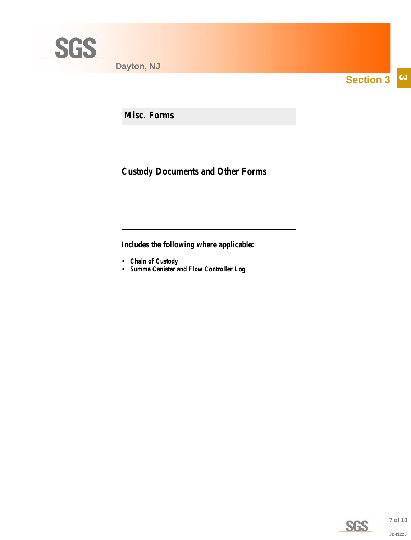<span id="page-6-0"></span>

**Section 3**  $|\boldsymbol{\omega}|$ 

**Misc. Forms**

**Custody Documents and Other Forms**

**Includes the following where applicable:**

- **Chain of Custody**
- **Summa Canister and Flow Controller Log**



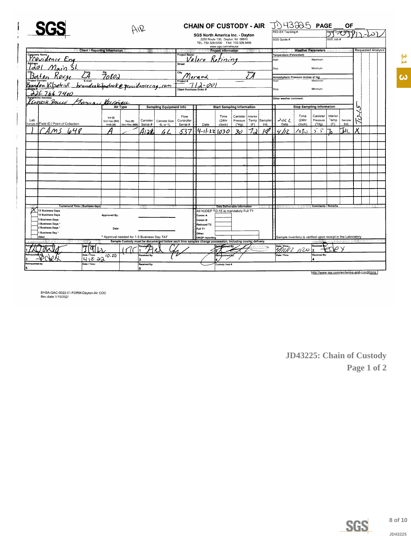<span id="page-7-0"></span>

|                                                                                                               |                                            | AIR          |                     | CHAIN OF CUSTODY - AIR JU43225 PAGE __ OF<br>SGS North America Inc. - Dayton |                                                                                              |                                                                                                          |                                   |                |          | FED-EX Tracking # | Battle Order Opplied                                        |                                  |                                            |             |                  |                           |  |  |  |  |
|---------------------------------------------------------------------------------------------------------------|--------------------------------------------|--------------|---------------------|------------------------------------------------------------------------------|----------------------------------------------------------------------------------------------|----------------------------------------------------------------------------------------------------------|-----------------------------------|----------------|----------|-------------------|-------------------------------------------------------------|----------------------------------|--------------------------------------------|-------------|------------------|---------------------------|--|--|--|--|
|                                                                                                               |                                            |              |                     |                                                                              | 2235 Route 130, Davton, NJ 08810<br>TEL. 732-329-0200 FAX 732-329-3499<br>www.sgs.com/ehsusa |                                                                                                          |                                   |                |          |                   | SGS Quote #                                                 | <b>Weather Parameters</b>        |                                            | SGS Job     |                  | <b>Requested Analysis</b> |  |  |  |  |
| Client / Reporting Information                                                                                |                                            |              |                     |                                                                              | Project Name:                                                                                |                                                                                                          | Project Information               |                |          |                   | Temperature (Fahrenheit)                                    |                                  |                                            |             |                  |                           |  |  |  |  |
| Company Name Cry                                                                                              |                                            |              |                     |                                                                              |                                                                                              | <u>Valore</u> Ketining                                                                                   |                                   |                |          |                   | Start:                                                      |                                  | Maximum:                                   |             |                  |                           |  |  |  |  |
| Main 51                                                                                                       |                                            |              |                     |                                                                              | Street                                                                                       |                                                                                                          |                                   |                |          |                   | Stop                                                        |                                  | Minimum                                    |             |                  |                           |  |  |  |  |
|                                                                                                               |                                            |              |                     |                                                                              |                                                                                              |                                                                                                          |                                   |                | State    |                   |                                                             |                                  |                                            |             |                  |                           |  |  |  |  |
|                                                                                                               |                                            |              |                     |                                                                              |                                                                                              |                                                                                                          |                                   |                | L A      |                   | Atmoshpheric Pressure (inches of Hg)<br>start.              |                                  | Maximum                                    |             |                  |                           |  |  |  |  |
| Baten Rouge 24 70802<br>Providen Rouge 24 70802<br>Brandon Kilpatrisk boandeakilpatricke providence cag. 1000 |                                            |              |                     |                                                                              |                                                                                              | $\frac{m_{\text{product}}}{\frac{1}{2}112.001}$                                                          |                                   |                |          |                   |                                                             |                                  |                                            |             |                  |                           |  |  |  |  |
|                                                                                                               |                                            |              |                     |                                                                              |                                                                                              |                                                                                                          |                                   |                |          |                   | Stop:                                                       |                                  | Minimum:                                   |             |                  |                           |  |  |  |  |
| $225 - 766 - 7400$                                                                                            |                                            |              |                     |                                                                              |                                                                                              |                                                                                                          |                                   |                |          |                   | Other weather comment:                                      |                                  |                                            |             |                  |                           |  |  |  |  |
| KENNESH PARLUS                                                                                                | France Kulmen                              |              |                     |                                                                              |                                                                                              |                                                                                                          |                                   |                |          |                   |                                                             |                                  |                                            |             |                  |                           |  |  |  |  |
|                                                                                                               |                                            | Air Type     |                     | <b>Sampling Equipment Info</b>                                               |                                                                                              |                                                                                                          | <b>Start Sampling Information</b> |                |          |                   |                                                             | <b>Stop Sampling Information</b> |                                            |             |                  |                           |  |  |  |  |
|                                                                                                               | Ind $(1)$                                  |              |                     |                                                                              | Flow                                                                                         |                                                                                                          | Time                              | Canister       | Interior |                   |                                                             | Time                             | Canister                                   | Interior    |                  |                           |  |  |  |  |
| Lab<br>Sample # Field ID / Point of Collection                                                                | Soil Vap (SV)                              | Res (R)      | Canister            | <b>Canister Size</b>                                                         | Controller                                                                                   |                                                                                                          | (24hr                             | Pressure       |          | Temp Sampler      | ے جو د                                                      | (24hr                            | Pressure                                   | Temp<br>(F) | Sampler<br>Init. |                           |  |  |  |  |
|                                                                                                               | Amb (A)                                    | Non-Res (NR) | Seriai #            | 6L or 1L                                                                     | Serial #                                                                                     | Date                                                                                                     | clock)                            | ("Ha)          | (F)      | Init.             | Date                                                        | clock)                           | ("Hg)                                      |             |                  | v                         |  |  |  |  |
| mς<br>648                                                                                                     |                                            |              | Aiah                |                                                                              | 537                                                                                          | 14-11-22 1030                                                                                            |                                   | 3 <sub>o</sub> | フィ       | I∜                | Ù                                                           | ن7ە/                             | 5.5                                        |             | Тĸ               |                           |  |  |  |  |
|                                                                                                               |                                            |              |                     |                                                                              |                                                                                              |                                                                                                          |                                   |                |          |                   |                                                             |                                  |                                            |             |                  |                           |  |  |  |  |
|                                                                                                               |                                            |              |                     |                                                                              |                                                                                              |                                                                                                          |                                   |                |          |                   |                                                             |                                  |                                            |             |                  |                           |  |  |  |  |
|                                                                                                               |                                            |              |                     |                                                                              |                                                                                              |                                                                                                          |                                   |                |          |                   |                                                             |                                  |                                            |             |                  |                           |  |  |  |  |
|                                                                                                               |                                            |              |                     |                                                                              |                                                                                              |                                                                                                          |                                   |                |          |                   |                                                             |                                  |                                            |             |                  |                           |  |  |  |  |
|                                                                                                               |                                            |              |                     |                                                                              |                                                                                              |                                                                                                          |                                   |                |          |                   |                                                             |                                  |                                            |             |                  |                           |  |  |  |  |
|                                                                                                               |                                            |              |                     |                                                                              |                                                                                              |                                                                                                          |                                   |                |          |                   |                                                             |                                  |                                            |             |                  |                           |  |  |  |  |
|                                                                                                               |                                            |              |                     |                                                                              |                                                                                              |                                                                                                          |                                   |                |          |                   |                                                             |                                  |                                            |             |                  |                           |  |  |  |  |
|                                                                                                               |                                            |              |                     |                                                                              |                                                                                              |                                                                                                          |                                   |                |          |                   |                                                             |                                  |                                            |             |                  |                           |  |  |  |  |
|                                                                                                               |                                            |              |                     |                                                                              |                                                                                              |                                                                                                          |                                   |                |          |                   |                                                             |                                  |                                            |             |                  |                           |  |  |  |  |
|                                                                                                               |                                            |              |                     |                                                                              |                                                                                              |                                                                                                          |                                   |                |          |                   |                                                             |                                  |                                            |             |                  |                           |  |  |  |  |
|                                                                                                               |                                            |              |                     |                                                                              |                                                                                              |                                                                                                          |                                   |                |          |                   |                                                             |                                  |                                            |             |                  |                           |  |  |  |  |
| <b>Turnaround Time (Business days)</b>                                                                        |                                            |              |                     |                                                                              |                                                                                              |                                                                                                          | Data Deliverable Information      |                |          |                   |                                                             |                                  | <b>Comments / Remarks</b>                  |             |                  |                           |  |  |  |  |
| 15 Business Days                                                                                              |                                            |              |                     |                                                                              |                                                                                              | All NJDEP TO-15 is mandatory Full T1                                                                     |                                   |                |          |                   |                                                             |                                  |                                            |             |                  |                           |  |  |  |  |
| 10 Business Days<br>5 Business Days                                                                           | <b>Approved By:</b>                        |              |                     |                                                                              |                                                                                              | Comm A<br>Comm B                                                                                         |                                   |                |          |                   |                                                             |                                  |                                            |             |                  |                           |  |  |  |  |
| 3 Business Days                                                                                               |                                            |              |                     |                                                                              |                                                                                              | Reduced T2                                                                                               |                                   |                |          |                   |                                                             |                                  |                                            |             |                  |                           |  |  |  |  |
| 2 Business Days                                                                                               | Date:                                      |              |                     |                                                                              |                                                                                              | Full T1                                                                                                  |                                   |                |          |                   |                                                             |                                  |                                            |             |                  |                           |  |  |  |  |
| 1 Business Day *<br>Other                                                                                     | * Approval needed for 1-3 Business Day TAT |              |                     |                                                                              |                                                                                              | Other:<br><b>DKQP</b> reporting                                                                          |                                   |                |          |                   | Sample inventory is verified upon receipt in the Laboratory |                                  |                                            |             |                  |                           |  |  |  |  |
|                                                                                                               |                                            |              |                     |                                                                              |                                                                                              | Sample Custody must be documented below each time samples change possession, including courier delivery. |                                   |                |          |                   |                                                             |                                  |                                            |             |                  |                           |  |  |  |  |
| $\overline{7}$ [a]                                                                                            |                                            |              |                     |                                                                              |                                                                                              |                                                                                                          | Reimalushed By:                   |                |          |                   | $\frac{1}{2}$                                               |                                  | Received<br>l2                             |             |                  |                           |  |  |  |  |
| Date / Time:                                                                                                  | 10.20                                      |              | <b>Received By:</b> |                                                                              |                                                                                              |                                                                                                          | Relinquished By                   |                |          |                   | Date / Time:                                                |                                  | Received By:                               |             |                  |                           |  |  |  |  |
| 4.18.77                                                                                                       |                                            |              |                     |                                                                              |                                                                                              |                                                                                                          |                                   |                |          |                   |                                                             |                                  |                                            |             |                  |                           |  |  |  |  |
| Relinquished by<br>Date / Time:<br>5                                                                          |                                            |              | Received By:<br>ıк  |                                                                              |                                                                                              |                                                                                                          | Custody Seal #                    |                |          |                   |                                                             |                                  |                                            |             |                  |                           |  |  |  |  |
|                                                                                                               |                                            |              |                     |                                                                              |                                                                                              |                                                                                                          |                                   |                |          |                   |                                                             |                                  | http://www.sgs.com/en/terms-and-conditions |             |                  |                           |  |  |  |  |

EHSA-QAC-0022-01-FORM-Dayton-Air COC<br>Rev.date:1/15/2021

JD43225: Chain of Custody Page 1 of 2



**SGS** 

 $3,1$ 

 $\hat{\bm{\omega}}$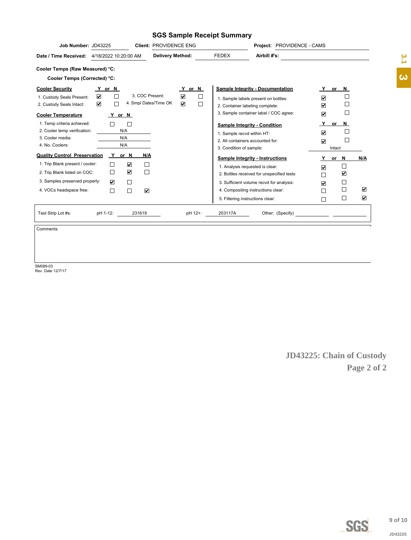#### **SGS Sample Receipt Summary**

| Job Number: JD43225<br><b>Client: PROVIDENCE ENG</b>                                                                                                                                                                                                                       |                                                                                           | Project: PROVIDENCE - CAMS                                                                                                                                                                               |                                                  |                                                  |                                                        |
|----------------------------------------------------------------------------------------------------------------------------------------------------------------------------------------------------------------------------------------------------------------------------|-------------------------------------------------------------------------------------------|----------------------------------------------------------------------------------------------------------------------------------------------------------------------------------------------------------|--------------------------------------------------|--------------------------------------------------|--------------------------------------------------------|
| <b>Delivery Method:</b><br>4/18/2022 10:20:00 AM<br>Date / Time Received:                                                                                                                                                                                                  | <b>FEDEX</b>                                                                              | Airbill #'s:                                                                                                                                                                                             |                                                  |                                                  |                                                        |
| Cooler Temps (Raw Measured) °C:                                                                                                                                                                                                                                            |                                                                                           |                                                                                                                                                                                                          |                                                  |                                                  |                                                        |
| Cooler Temps (Corrected) °C:                                                                                                                                                                                                                                               |                                                                                           |                                                                                                                                                                                                          |                                                  |                                                  |                                                        |
| <b>Cooler Security</b><br>Y or N<br>Y or N<br>3. COC Present:<br>$\blacktriangledown$<br>$\Box$<br>☑<br>П<br>1. Custody Seals Present:<br>$\Box$<br>☑<br>4. Smpl Dates/Time OK<br>$\blacktriangledown$<br>П<br>2. Custody Seals Intact:                                    | 2. Container labeling complete:                                                           | <b>Sample Integrity - Documentation</b><br>1. Sample labels present on bottles:<br>3. Sample container label / COC agree:                                                                                | ☑<br>$\overline{\mathbf{v}}$<br>☑                | or N<br>$\Box$<br>$\Box$                         |                                                        |
| <b>Cooler Temperature</b><br>Y or N<br>1. Temp criteria achieved:<br>2. Cooler temp verification:<br>N/A<br>3. Cooler media:<br>N/A<br>N/A<br>4. No. Coolers:                                                                                                              | 1. Sample recvd within HT:<br>2. All containers accounted for:<br>3. Condition of sample: | <b>Sample Integrity - Condition</b>                                                                                                                                                                      | Y<br>☑<br>$\overline{\mathbf{v}}$                | or N<br>$\overline{\phantom{a}}$<br>П<br>Intact  |                                                        |
| <b>Quality Control Preservation</b><br>Y<br>or N<br>N/A<br>1. Trip Blank present / cooler:<br>☑<br>П<br>☑<br>П<br>$\mathbf{1}$<br>2. Trip Blank listed on COC:<br>3. Samples preserved properly:<br>$\Box$<br>☑<br>$\overline{\mathbf{v}}$<br>4. VOCs headspace free:<br>П | 5. Filtering instructions clear:                                                          | <b>Sample Integrity - Instructions</b><br>1. Analysis requested is clear:<br>2. Bottles received for unspecified tests<br>3. Sufficient volume recvd for analysis:<br>4. Compositing instructions clear: | Y<br>☑<br>П<br>$\overline{\mathbf{v}}$<br>П<br>П | or N<br>□<br>$\blacktriangledown$<br>□<br>П<br>⊔ | N/A<br>$\blacktriangledown$<br>$\overline{\mathbf{v}}$ |
| pH 1-12:<br>Test Strip Lot #s:<br>231619<br>pH 12+:                                                                                                                                                                                                                        | 203117A                                                                                   | Other: (Specify)                                                                                                                                                                                         |                                                  | <u> 1999 - Alexandr Alexandr III (</u>           |                                                        |
|                                                                                                                                                                                                                                                                            |                                                                                           |                                                                                                                                                                                                          |                                                  |                                                  |                                                        |

Comments

SM089-03 Rev. Date 12/7/17

**JD43225: Chain of Custody Page 2 of 2**



**9 of 10** JD43225

 $\frac{3.1}{2}$ **4.[3](#page-1-0)**<br>**3** of 10<br>JD43225  $\hat{\bm{\omega}}$